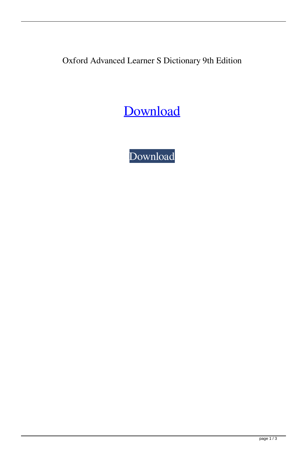Oxford Advanced Learner S Dictionary 9th Edition

[Download](http://evacdir.com/holben/qualitydiscountwristbands/T3hmb3JkIEFkdmFuY2VkIExlYXJuZXIgcyBEaWN0aW9uYXJ5IDl0aCBFZGl0aW9uT3h.saronno/stoops.taimu.thuggish.ZG93bmxvYWR8cGU4TVRZM2MzeDhNVFkxTWpjME1EZzJObng4TWpVM05IeDhLRTBwSUhKbFlXUXRZbXh2WnlCYlJtRnpkQ0JIUlU1ZA.flourishes)

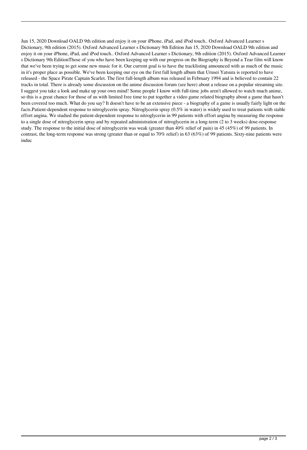Jun 15, 2020 Download OALD 9th edition and enjoy it on your iPhone, iPad, and iPod touch.. Oxford Advanced Learner s Dictionary, 9th edition (2015). Oxford Advanced Learner s Dictionary 9th Edition Jun 15, 2020 Download OALD 9th edition and enjoy it on your iPhone, iPad, and iPod touch.. Oxford Advanced Learner s Dictionary, 9th edition (2015). Oxford Advanced Learner s Dictionary 9th EditionThose of you who have been keeping up with our progress on the Biography is Beyond a Tear film will know that we've been trying to get some new music for it. Our current goal is to have the tracklisting announced with as much of the music in it's proper place as possible. We've been keeping our eye on the first full length album that Urusei Yatsura is reported to have released - the Space Pirate Captain Scarlet. The first full-length album was released in February 1994 and is believed to contain 22 tracks in total. There is already some discussion on the anime discussion forum (see here) about a release on a popular streaming site. I suggest you take a look and make up your own mind! Some people I know with full-time jobs aren't allowed to watch much anime, so this is a great chance for those of us with limited free time to put together a video game related biography about a game that hasn't been covered too much. What do you say? It doesn't have to be an extensive piece - a biography of a game is usually fairly light on the facts.Patient-dependent response to nitroglycerin spray. Nitroglycerin spray (0.5% in water) is widely used to treat patients with stable effort angina. We studied the patient-dependent response to nitroglycerin in 99 patients with effort angina by measuring the response to a single dose of nitroglycerin spray and by repeated administration of nitroglycerin in a long-term (2 to 3 weeks) dose-response study. The response to the initial dose of nitroglycerin was weak (greater than 40% relief of pain) in 45 (45%) of 99 patients. In contrast, the long-term response was strong (greater than or equal to 70% relief) in 63 (63%) of 99 patients. Sixty-nine patients were induc